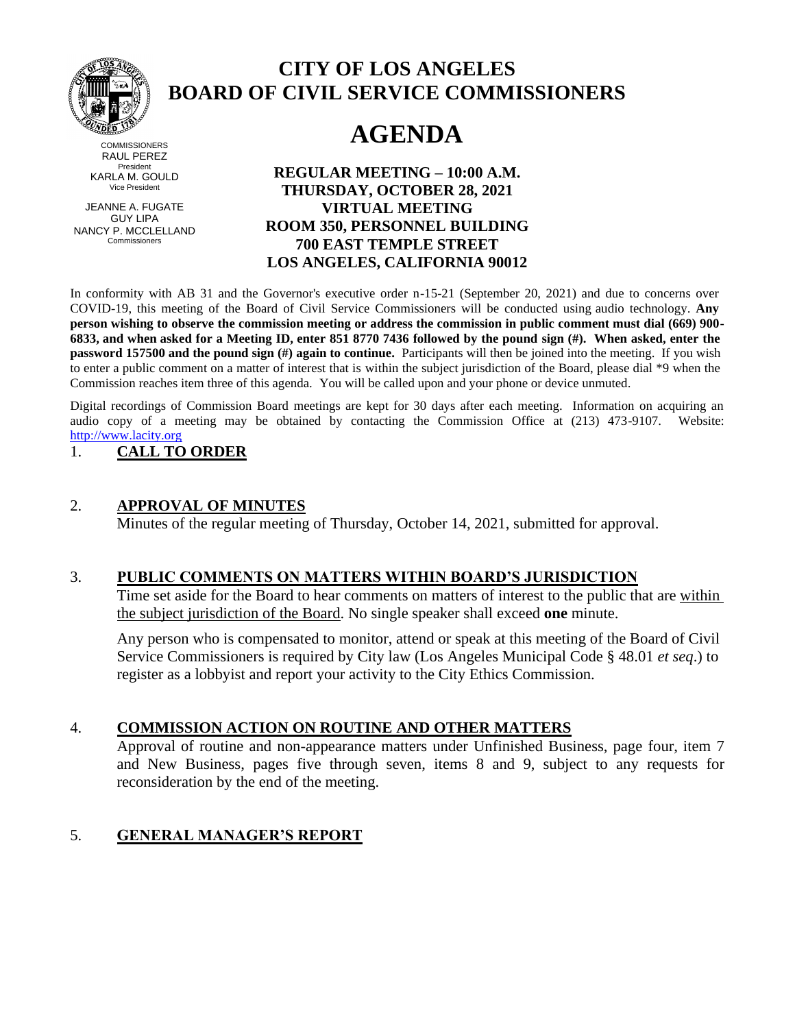

## **CITY OF LOS ANGELES BOARD OF CIVIL SERVICE COMMISSIONERS**

# **AGENDA**

**COMMISSIONERS** RAUL PEREZ President KARLA M. GOULD Vice President

JEANNE A. FUGATE GUY LIPA NANCY P. MCCLELLAND Commissioners

**REGULAR MEETING – 10:00 A.M. THURSDAY, OCTOBER 28, 2021 VIRTUAL MEETING ROOM 350, PERSONNEL BUILDING 700 EAST TEMPLE STREET LOS ANGELES, CALIFORNIA 90012**

In conformity with AB 31 and the Governor's executive order n-15-21 (September 20, 2021) and due to concerns over COVID-19, this meeting of the Board of Civil Service Commissioners will be conducted using audio technology. **Any person wishing to observe the commission meeting or address the commission in public comment must dial (669) 900- 6833, and when asked for a Meeting ID, enter 851 8770 7436 followed by the pound sign (#). When asked, enter the password 157500 and the pound sign (#) again to continue.** Participants will then be joined into the meeting. If you wish to enter a public comment on a matter of interest that is within the subject jurisdiction of the Board, please dial \*9 when the Commission reaches item three of this agenda. You will be called upon and your phone or device unmuted.

Digital recordings of Commission Board meetings are kept for 30 days after each meeting. Information on acquiring an audio copy of a meeting may be obtained by contacting the Commission Office at (213) 473-9107. Website: [http://www.lacity.org](http://www.lacity.org/)

### 1. **CALL TO ORDER**

#### 2. **APPROVAL OF MINUTES**

Minutes of the regular meeting of Thursday, October 14, 2021, submitted for approval.

#### 3. **PUBLIC COMMENTS ON MATTERS WITHIN BOARD'S JURISDICTION**

Time set aside for the Board to hear comments on matters of interest to the public that are within the subject jurisdiction of the Board. No single speaker shall exceed **one** minute.

Any person who is compensated to monitor, attend or speak at this meeting of the Board of Civil Service Commissioners is required by City law (Los Angeles Municipal Code § 48.01 *et seq*.) to register as a lobbyist and report your activity to the City Ethics Commission.

#### 4. **COMMISSION ACTION ON ROUTINE AND OTHER MATTERS**

Approval of routine and non-appearance matters under Unfinished Business, page four, item 7 and New Business, pages five through seven, items 8 and 9, subject to any requests for reconsideration by the end of the meeting.

#### 5. **GENERAL MANAGER'S REPORT**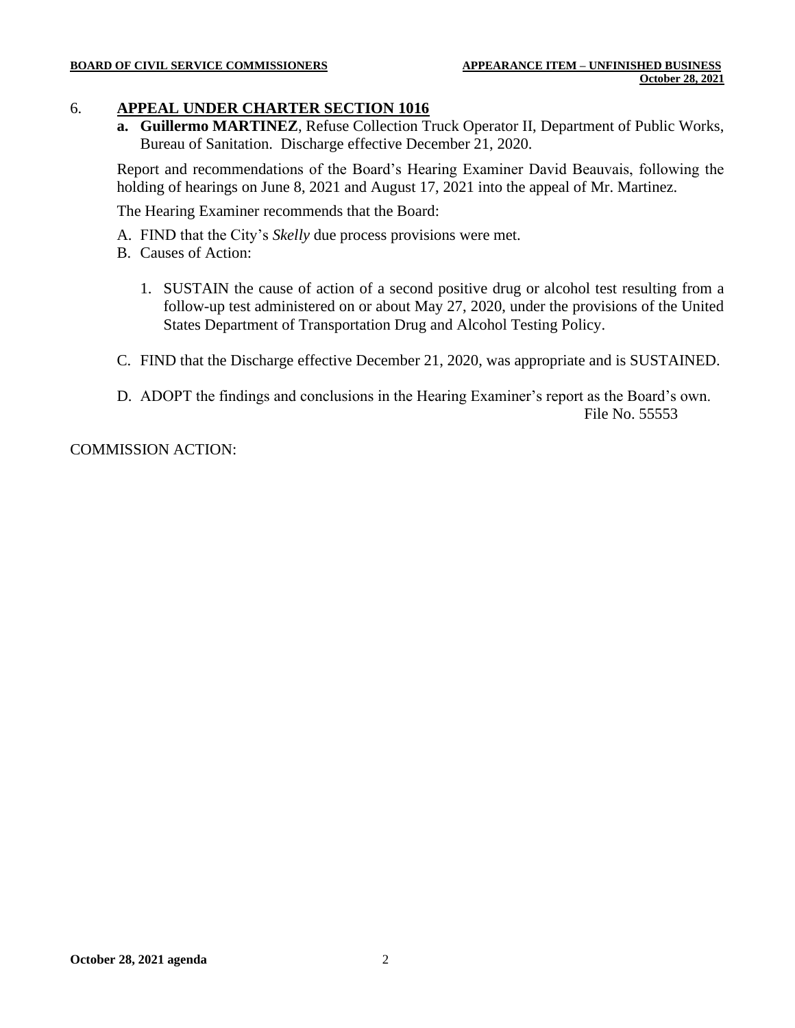#### 6. **APPEAL UNDER CHARTER SECTION 1016**

**a. Guillermo MARTINEZ**, Refuse Collection Truck Operator II, Department of Public Works, Bureau of Sanitation. Discharge effective December 21, 2020.

Report and recommendations of the Board's Hearing Examiner David Beauvais, following the holding of hearings on June 8, 2021 and August 17, 2021 into the appeal of Mr. Martinez.

The Hearing Examiner recommends that the Board:

- A. FIND that the City's *Skelly* due process provisions were met.
- B. Causes of Action:
	- 1. SUSTAIN the cause of action of a second positive drug or alcohol test resulting from a follow-up test administered on or about May 27, 2020, under the provisions of the United States Department of Transportation Drug and Alcohol Testing Policy.
- C. FIND that the Discharge effective December 21, 2020, was appropriate and is SUSTAINED.
- D. ADOPT the findings and conclusions in the Hearing Examiner's report as the Board's own. File No. 55553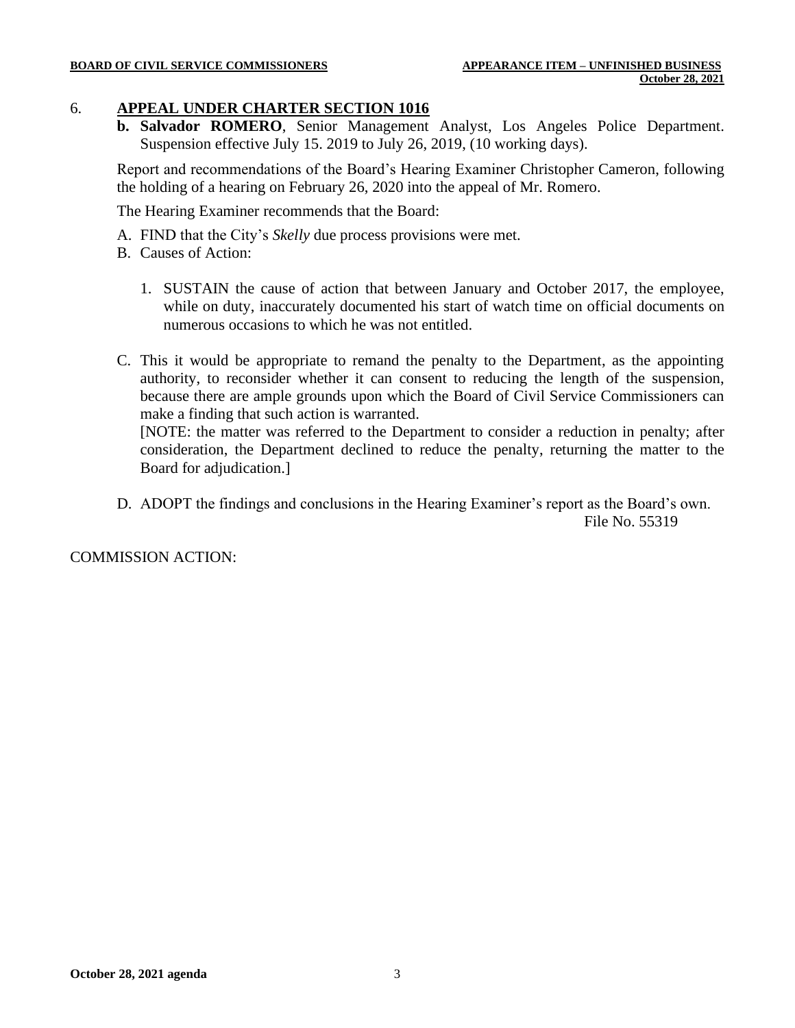#### 6. **APPEAL UNDER CHARTER SECTION 1016**

**b. Salvador ROMERO**, Senior Management Analyst, Los Angeles Police Department. Suspension effective July 15. 2019 to July 26, 2019, (10 working days).

Report and recommendations of the Board's Hearing Examiner Christopher Cameron, following the holding of a hearing on February 26, 2020 into the appeal of Mr. Romero.

The Hearing Examiner recommends that the Board:

- A. FIND that the City's *Skelly* due process provisions were met.
- B. Causes of Action:
	- 1. SUSTAIN the cause of action that between January and October 2017, the employee, while on duty, inaccurately documented his start of watch time on official documents on numerous occasions to which he was not entitled.
- C. This it would be appropriate to remand the penalty to the Department, as the appointing authority, to reconsider whether it can consent to reducing the length of the suspension, because there are ample grounds upon which the Board of Civil Service Commissioners can make a finding that such action is warranted.

[NOTE: the matter was referred to the Department to consider a reduction in penalty; after consideration, the Department declined to reduce the penalty, returning the matter to the Board for adjudication.]

D. ADOPT the findings and conclusions in the Hearing Examiner's report as the Board's own. File No. 55319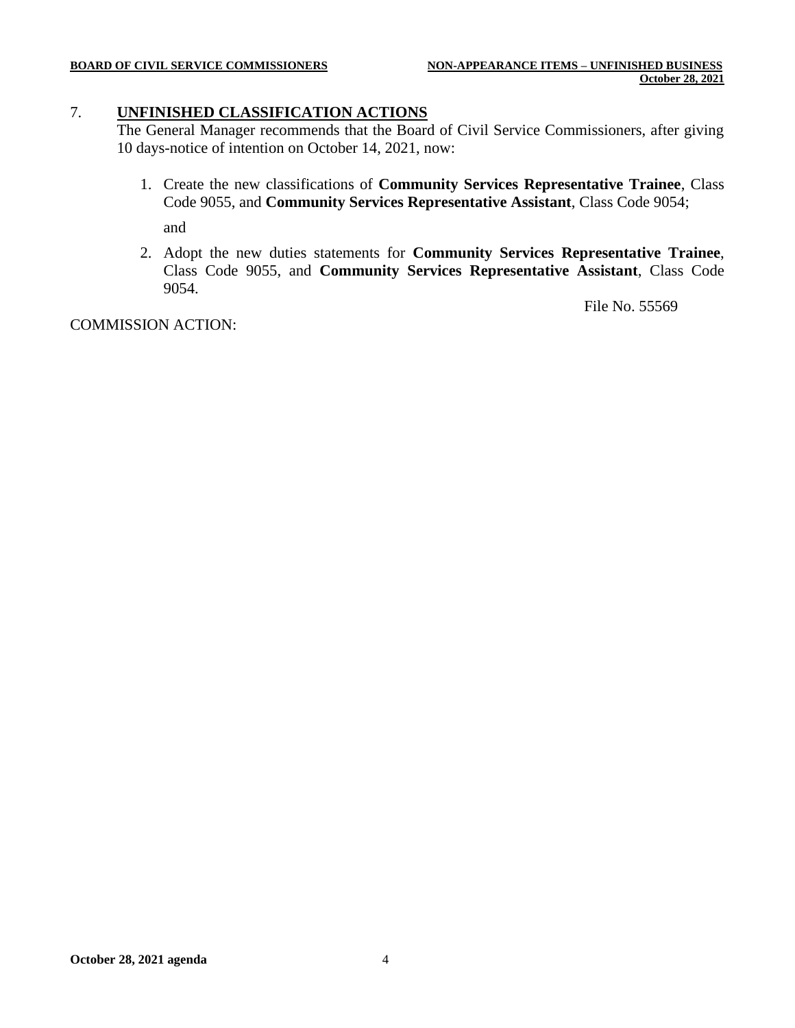#### 7. **UNFINISHED CLASSIFICATION ACTIONS**

The General Manager recommends that the Board of Civil Service Commissioners, after giving 10 days-notice of intention on October 14, 2021, now:

- 1. Create the new classifications of **Community Services Representative Trainee**, Class Code 9055, and **Community Services Representative Assistant**, Class Code 9054; and
- 2. Adopt the new duties statements for **Community Services Representative Trainee**, Class Code 9055, and **Community Services Representative Assistant**, Class Code 9054.

File No. 55569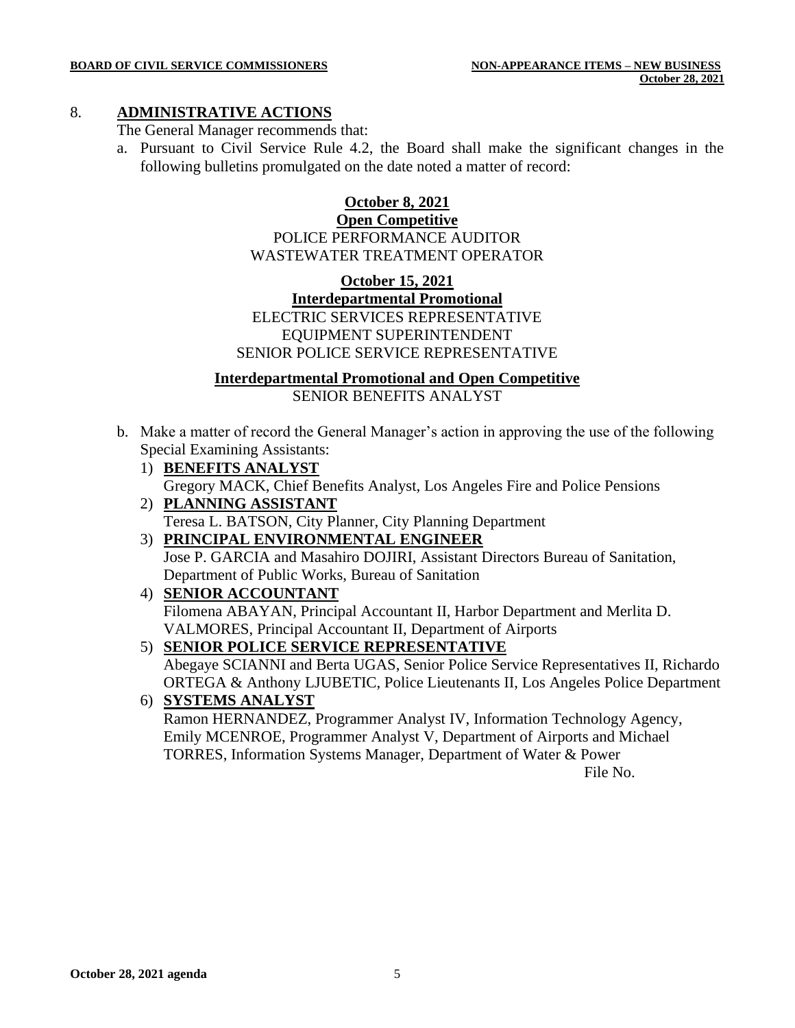#### 8. **ADMINISTRATIVE ACTIONS**

The General Manager recommends that:

a. Pursuant to Civil Service Rule 4.2, the Board shall make the significant changes in the following bulletins promulgated on the date noted a matter of record:

#### **October 8, 2021 Open Competitive** POLICE PERFORMANCE AUDITOR WASTEWATER TREATMENT OPERATOR

#### **October 15, 2021 Interdepartmental Promotional** ELECTRIC SERVICES REPRESENTATIVE EQUIPMENT SUPERINTENDENT SENIOR POLICE SERVICE REPRESENTATIVE

**Interdepartmental Promotional and Open Competitive**

SENIOR BENEFITS ANALYST

- b. Make a matter of record the General Manager's action in approving the use of the following Special Examining Assistants:
	- 1) **BENEFITS ANALYST** Gregory MACK, Chief Benefits Analyst, Los Angeles Fire and Police Pensions
	- 2) **PLANNING ASSISTANT** Teresa L. BATSON, City Planner, City Planning Department
	- 3) **PRINCIPAL ENVIRONMENTAL ENGINEER** Jose P. GARCIA and Masahiro DOJIRI, Assistant Directors Bureau of Sanitation, Department of Public Works, Bureau of Sanitation
	- 4) **SENIOR ACCOUNTANT** Filomena ABAYAN, Principal Accountant II, Harbor Department and Merlita D. VALMORES, Principal Accountant II, Department of Airports
	- 5) **SENIOR POLICE SERVICE REPRESENTATIVE** Abegaye SCIANNI and Berta UGAS, Senior Police Service Representatives II, Richardo
	- ORTEGA & Anthony LJUBETIC, Police Lieutenants II, Los Angeles Police Department 6) **SYSTEMS ANALYST** Ramon HERNANDEZ, Programmer Analyst IV, Information Technology Agency,

Emily MCENROE, Programmer Analyst V, Department of Airports and Michael TORRES, Information Systems Manager, Department of Water & Power

File No.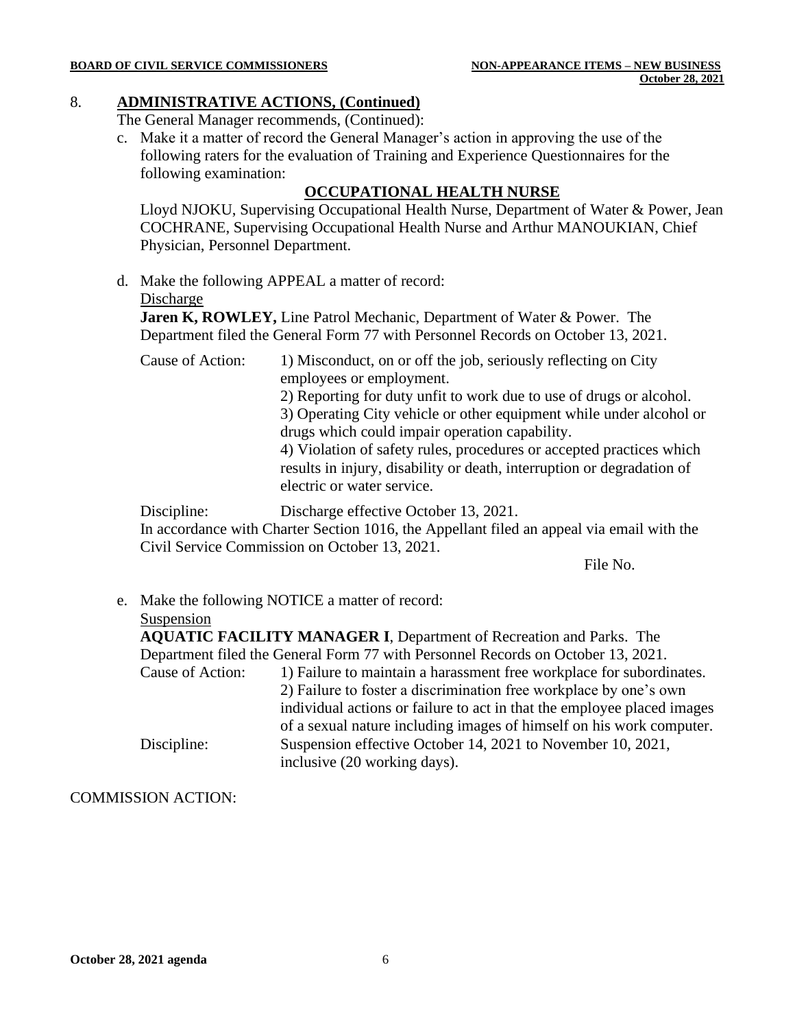### 8. **ADMINISTRATIVE ACTIONS, (Continued)**

The General Manager recommends, (Continued):

c. Make it a matter of record the General Manager's action in approving the use of the following raters for the evaluation of Training and Experience Questionnaires for the following examination:

#### **OCCUPATIONAL HEALTH NURSE**

Lloyd NJOKU, Supervising Occupational Health Nurse, Department of Water & Power, Jean COCHRANE, Supervising Occupational Health Nurse and Arthur MANOUKIAN, Chief Physician, Personnel Department.

d. Make the following APPEAL a matter of record:

#### Discharge

**Jaren K, ROWLEY,** Line Patrol Mechanic, Department of Water & Power. The Department filed the General Form 77 with Personnel Records on October 13, 2021.

Cause of Action: 1) Misconduct, on or off the job, seriously reflecting on City employees or employment.

2) Reporting for duty unfit to work due to use of drugs or alcohol.

3) Operating City vehicle or other equipment while under alcohol or drugs which could impair operation capability.

4) Violation of safety rules, procedures or accepted practices which results in injury, disability or death, interruption or degradation of electric or water service.

Discipline: Discharge effective October 13, 2021.

In accordance with Charter Section 1016, the Appellant filed an appeal via email with the Civil Service Commission on October 13, 2021.

File No.

e. Make the following NOTICE a matter of record:

#### Suspension

**AQUATIC FACILITY MANAGER I**, Department of Recreation and Parks. The Department filed the General Form 77 with Personnel Records on October 13, 2021. Cause of Action: 1) Failure to maintain a harassment free workplace for subordinates. 2) Failure to foster a discrimination free workplace by one's own individual actions or failure to act in that the employee placed images of a sexual nature including images of himself on his work computer. Discipline: Suspension effective October 14, 2021 to November 10, 2021, inclusive (20 working days).